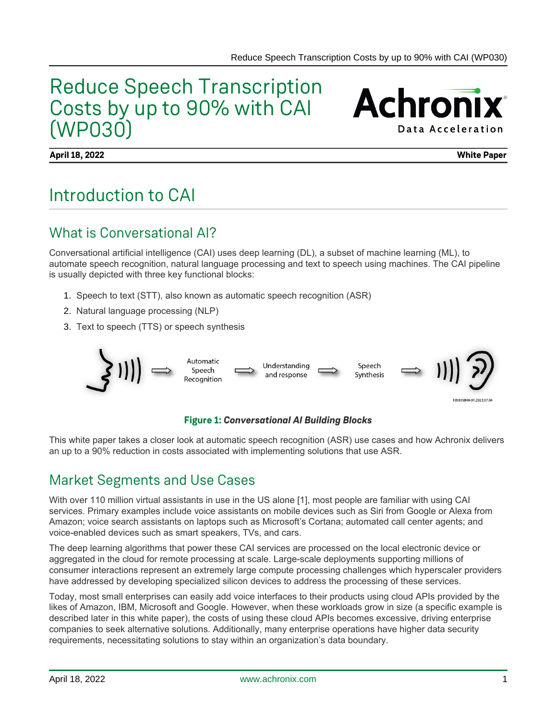## Reduce Speech Transcription Costs by up to 90% with CAI (WP030)

**Achronix Data Acceleration** 

**April 18, 2022 White Paper**

## Introduction to CAI

### What is Conversational AI?

Conversational artificial intelligence (CAI) uses deep learning (DL), a subset of machine learning (ML), to automate speech recognition, natural language processing and text to speech using machines. The CAI pipeline is usually depicted with three key functional blocks:

- 1. Speech to text (STT), also known as automatic speech recognition (ASR)
- 2. Natural language processing (NLP)
- 3. Text to speech (TTS) or speech synthesis



#### **Figure 1:** *Conversational AI Building Blocks*

This white paper takes a closer look at automatic speech recognition (ASR) use cases and how Achronix delivers an up to a 90% reduction in costs associated with implementing solutions that use ASR.

### Market Segments and Use Cases

With over 110 million virtual assistants in use in the US alone [1], most people are familiar with using CAI services. Primary examples include voice assistants on mobile devices such as Siri from Google or Alexa from Amazon; voice search assistants on laptops such as Microsoft's Cortana; automated call center agents; and voice-enabled devices such as smart speakers, TVs, and cars.

The deep learning algorithms that power these CAI services are processed on the local electronic device or aggregated in the cloud for remote processing at scale. Large-scale deployments supporting millions of consumer interactions represent an extremely large compute processing challenges which hyperscaler providers have addressed by developing specialized silicon devices to address the processing of these services.

Today, most small enterprises can easily add voice interfaces to their products using cloud APIs provided by the likes of Amazon, IBM, Microsoft and Google. However, when these workloads grow in size (a specific example is described later in this white paper), the costs of using these cloud APIs becomes excessive, driving enterprise companies to seek alternative solutions. Additionally, many enterprise operations have higher data security requirements, necessitating solutions to stay within an organization's data boundary.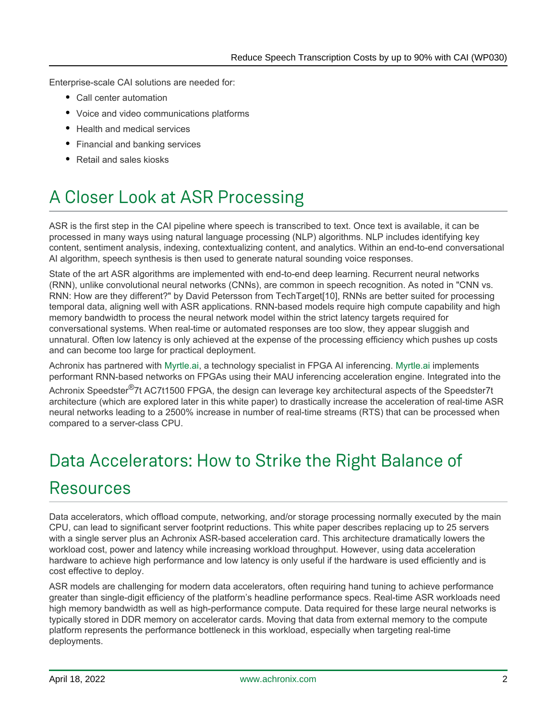Enterprise-scale CAI solutions are needed for:

- Call center automation
- Voice and video communications platforms
- Health and medical services
- Financial and banking services
- Retail and sales kiosks

## A Closer Look at ASR Processing

ASR is the first step in the CAI pipeline where speech is transcribed to text. Once text is available, it can be processed in many ways using natural language processing (NLP) algorithms. NLP includes identifying key content, sentiment analysis, indexing, contextualizing content, and analytics. Within an end-to-end conversational AI algorithm, speech synthesis is then used to generate natural sounding voice responses.

State of the art ASR algorithms are implemented with end-to-end deep learning. Recurrent neural networks (RNN), unlike convolutional neural networks (CNNs), are common in speech recognition. As noted in "CNN vs. RNN: How are they different?" by David Petersson from TechTarget[10], RNNs are better suited for processing temporal data, aligning well with ASR applications. RNN-based models require high compute capability and high memory bandwidth to process the neural network model within the strict latency targets required for conversational systems. When real-time or automated responses are too slow, they appear sluggish and unnatural. Often low latency is only achieved at the expense of the processing efficiency which pushes up costs and can become too large for practical deployment.

Achronix has partnered with [Myrtle.ai,](http://Myrtle.ai) a technology specialist in FPGA AI inferencing. [Myrtle.ai](http://Myrtle.ai) implements performant RNN-based networks on FPGAs using their MAU inferencing acceleration engine. Integrated into the

Achronix Speedster<sup>®</sup>7t AC7t1500 FPGA, the design can leverage key architectural aspects of the Speedster7t architecture (which are explored later in this white paper) to drastically increase the acceleration of real-time ASR neural networks leading to a 2500% increase in number of real-time streams (RTS) that can be processed when compared to a server-class CPU.

## Data Accelerators: How to Strike the Right Balance of Resources

Data accelerators, which offload compute, networking, and/or storage processing normally executed by the main CPU, can lead to significant server footprint reductions. This white paper describes replacing up to 25 servers with a single server plus an Achronix ASR-based acceleration card. This architecture dramatically lowers the workload cost, power and latency while increasing workload throughput. However, using data acceleration hardware to achieve high performance and low latency is only useful if the hardware is used efficiently and is cost effective to deploy.

ASR models are challenging for modern data accelerators, often requiring hand tuning to achieve performance greater than single-digit efficiency of the platform's headline performance specs. Real-time ASR workloads need high memory bandwidth as well as high-performance compute. Data required for these large neural networks is typically stored in DDR memory on accelerator cards. Moving that data from external memory to the compute platform represents the performance bottleneck in this workload, especially when targeting real-time deployments.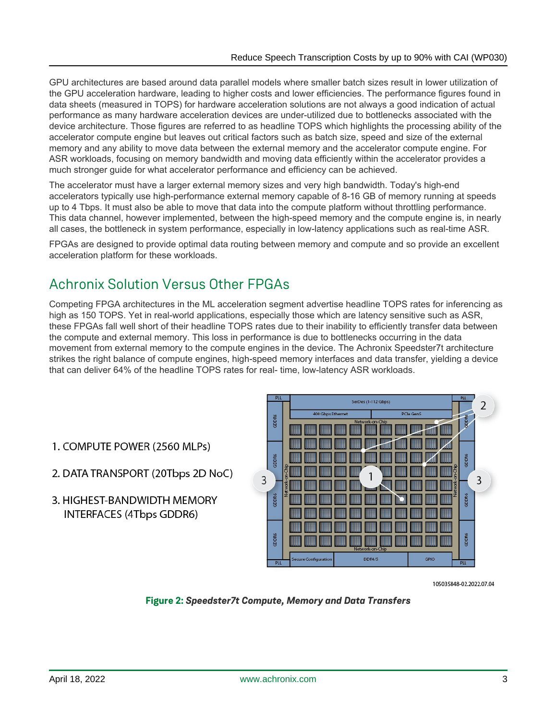GPU architectures are based around data parallel models where smaller batch sizes result in lower utilization of the GPU acceleration hardware, leading to higher costs and lower efficiencies. The performance figures found in data sheets (measured in TOPS) for hardware acceleration solutions are not always a good indication of actual performance as many hardware acceleration devices are under-utilized due to bottlenecks associated with the device architecture. Those figures are referred to as headline TOPS which highlights the processing ability of the accelerator compute engine but leaves out critical factors such as batch size, speed and size of the external memory and any ability to move data between the external memory and the accelerator compute engine. For ASR workloads, focusing on memory bandwidth and moving data efficiently within the accelerator provides a much stronger guide for what accelerator performance and efficiency can be achieved.

The accelerator must have a larger external memory sizes and very high bandwidth. Today's high-end accelerators typically use high-performance external memory capable of 8-16 GB of memory running at speeds up to 4 Tbps. It must also be able to move that data into the compute platform without throttling performance. This data channel, however implemented, between the high-speed memory and the compute engine is, in nearly all cases, the bottleneck in system performance, especially in low-latency applications such as real-time ASR.

FPGAs are designed to provide optimal data routing between memory and compute and so provide an excellent acceleration platform for these workloads.

### Achronix Solution Versus Other FPGAs

Competing FPGA architectures in the ML acceleration segment advertise headline TOPS rates for inferencing as high as 150 TOPS. Yet in real-world applications, especially those which are latency sensitive such as ASR, these FPGAs fall well short of their headline TOPS rates due to their inability to efficiently transfer data between the compute and external memory. This loss in performance is due to bottlenecks occurring in the data movement from external memory to the compute engines in the device. The Achronix Speedster7t architecture strikes the right balance of compute engines, high-speed memory interfaces and data transfer, yielding a device that can deliver 64% of the headline TOPS rates for real- time, low-latency ASR workloads.

- 1. COMPUTE POWER (2560 MLPs)
- 2. DATA TRANSPORT (20Tbps 2D NoC)
- 3. HIGHEST-BANDWIDTH MEMORY INTERFACES (4Tbps GDDR6)



105035848-02.2022.07.04

#### **Figure 2:** *Speedster7t Compute, Memory and Data Transfers*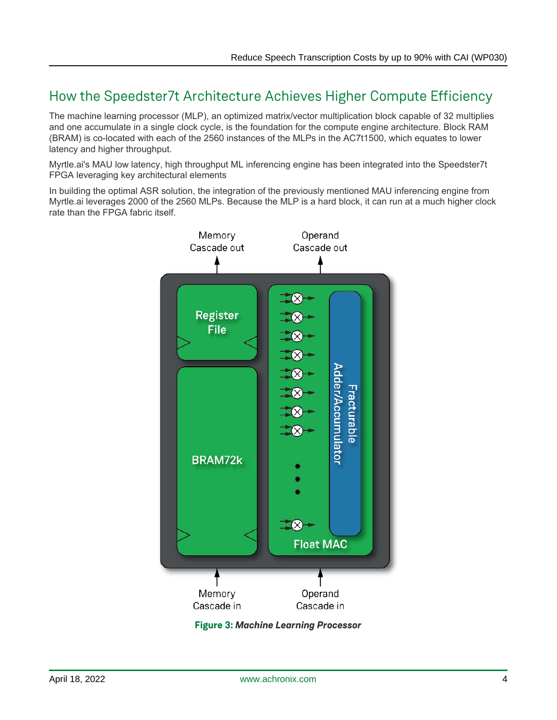### How the Speedster7t Architecture Achieves Higher Compute Efficiency

The machine learning processor (MLP), an optimized matrix/vector multiplication block capable of 32 multiplies and one accumulate in a single clock cycle, is the foundation for the compute engine architecture. Block RAM (BRAM) is co-located with each of the 2560 instances of the MLPs in the AC7t1500, which equates to lower latency and higher throughput.

Myrtle.ai's MAU low latency, high throughput ML inferencing engine has been integrated into the Speedster7t FPGA leveraging key architectural elements

In building the optimal ASR solution, the integration of the previously mentioned MAU inferencing engine from Myrtle.ai leverages 2000 of the 2560 MLPs. Because the MLP is a hard block, it can run at a much higher clock rate than the FPGA fabric itself.



**Figure 3:** *Machine Learning Processor*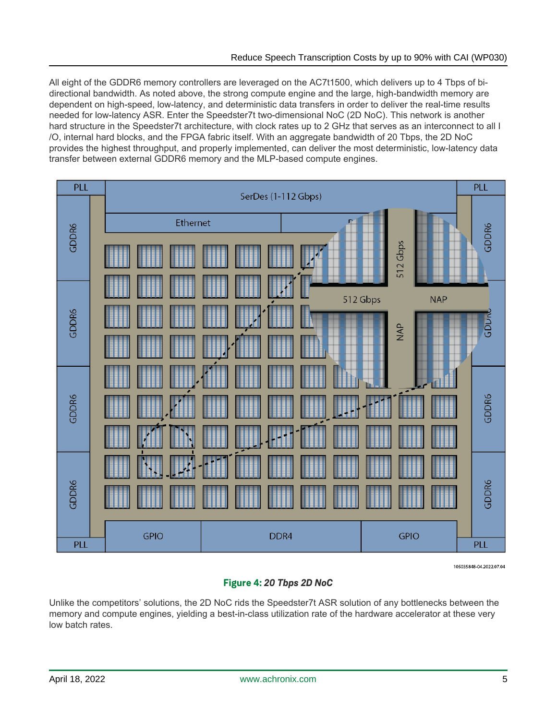All eight of the GDDR6 memory controllers are leveraged on the AC7t1500, which delivers up to 4 Tbps of bidirectional bandwidth. As noted above, the strong compute engine and the large, high-bandwidth memory are dependent on high-speed, low-latency, and deterministic data transfers in order to deliver the real-time results needed for low-latency ASR. Enter the Speedster7t two-dimensional NoC (2D NoC). This network is another hard structure in the Speedster7t architecture, with clock rates up to 2 GHz that serves as an interconnect to all I /O, internal hard blocks, and the FPGA fabric itself. With an aggregate bandwidth of 20 Tbps, the 2D NoC provides the highest throughput, and properly implemented, can deliver the most deterministic, low-latency data transfer between external GDDR6 memory and the MLP-based compute engines.



105035848-04.2022.07.04

#### **Figure 4:** *20 Tbps 2D NoC*

Unlike the competitors' solutions, the 2D NoC rids the Speedster7t ASR solution of any bottlenecks between the memory and compute engines, yielding a best-in-class utilization rate of the hardware accelerator at these very low batch rates.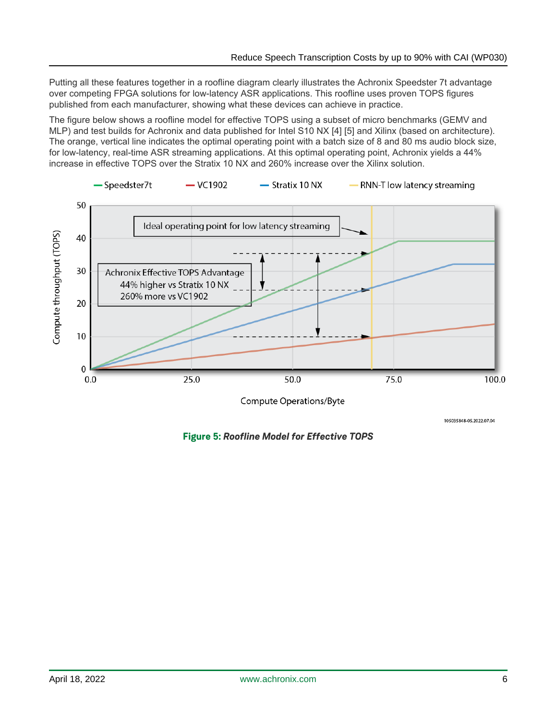Putting all these features together in a roofline diagram clearly illustrates the Achronix Speedster 7t advantage over competing FPGA solutions for low-latency ASR applications. This roofline uses proven TOPS figures published from each manufacturer, showing what these devices can achieve in practice.

The figure below shows a roofline model for effective TOPS using a subset of micro benchmarks (GEMV and MLP) and test builds for Achronix and data published for Intel S10 NX [4] [5] and Xilinx (based on architecture). The orange, vertical line indicates the optimal operating point with a batch size of 8 and 80 ms audio block size, for low-latency, real-time ASR streaming applications. At this optimal operating point, Achronix yields a 44% increase in effective TOPS over the Stratix 10 NX and 260% increase over the Xilinx solution.



105035848-05.2022.07.04

**Figure 5:** *Roofline Model for Effective TOPS*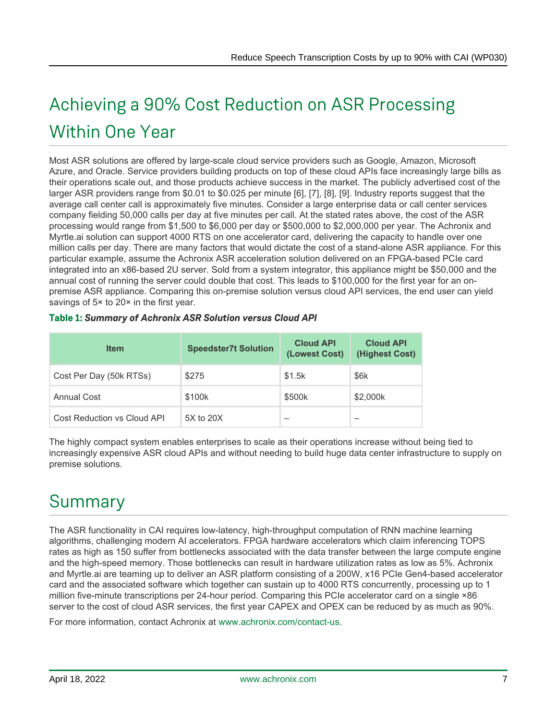# Achieving a 90% Cost Reduction on ASR Processing Within One Year

Most ASR solutions are offered by large-scale cloud service providers such as Google, Amazon, Microsoft Azure, and Oracle. Service providers building products on top of these cloud APIs face increasingly large bills as their operations scale out, and those products achieve success in the market. The publicly advertised cost of the larger ASR providers range from \$0.01 to \$0.025 per minute [6], [7], [8], [9]. Industry reports suggest that the average call center call is approximately five minutes. Consider a large enterprise data or call center services company fielding 50,000 calls per day at five minutes per call. At the stated rates above, the cost of the ASR processing would range from \$1,500 to \$6,000 per day or \$500,000 to \$2,000,000 per year. The Achronix and Myrtle.ai solution can support 4000 RTS on one accelerator card, delivering the capacity to handle over one million calls per day. There are many factors that would dictate the cost of a stand-alone ASR appliance. For this particular example, assume the Achronix ASR acceleration solution delivered on an FPGA-based PCIe card integrated into an x86-based 2U server. Sold from a system integrator, this appliance might be \$50,000 and the annual cost of running the server could double that cost. This leads to \$100,000 for the first year for an onpremise ASR appliance. Comparing this on-premise solution versus cloud API services, the end user can yield savings of 5<sup>x</sup> to 20<sup>x</sup> in the first year.

| <b>Item</b>                 | <b>Speedster7t Solution</b> | <b>Cloud API</b><br>(Lowest Cost) | <b>Cloud API</b><br>(Highest Cost) |
|-----------------------------|-----------------------------|-----------------------------------|------------------------------------|
| Cost Per Day (50k RTSs)     | \$275                       | \$1.5k                            | \$6k                               |
| <b>Annual Cost</b>          | \$100k                      | \$500k                            | \$2,000k                           |
| Cost Reduction vs Cloud API | 5X to 20X                   |                                   |                                    |

#### **Table 1:** *Summary of Achronix ASR Solution versus Cloud API*

The highly compact system enables enterprises to scale as their operations increase without being tied to increasingly expensive ASR cloud APIs and without needing to build huge data center infrastructure to supply on premise solutions.

### Summary

The ASR functionality in CAI requires low-latency, high-throughput computation of RNN machine learning algorithms, challenging modern AI accelerators. FPGA hardware accelerators which claim inferencing TOPS rates as high as 150 suffer from bottlenecks associated with the data transfer between the large compute engine and the high-speed memory. Those bottlenecks can result in hardware utilization rates as low as 5%. Achronix and Myrtle.ai are teaming up to deliver an ASR platform consisting of a 200W, x16 PCIe Gen4-based accelerator card and the associated software which together can sustain up to 4000 RTS concurrently, processing up to 1 million five-minute transcriptions per 24-hour period. Comparing this PCIe accelerator card on a single ×86 server to the cost of cloud ASR services, the first year CAPEX and OPEX can be reduced by as much as 90%.

For more information, contact Achronix at [www.achronix.com/contact-us](https://www.achronix.com/contact-us).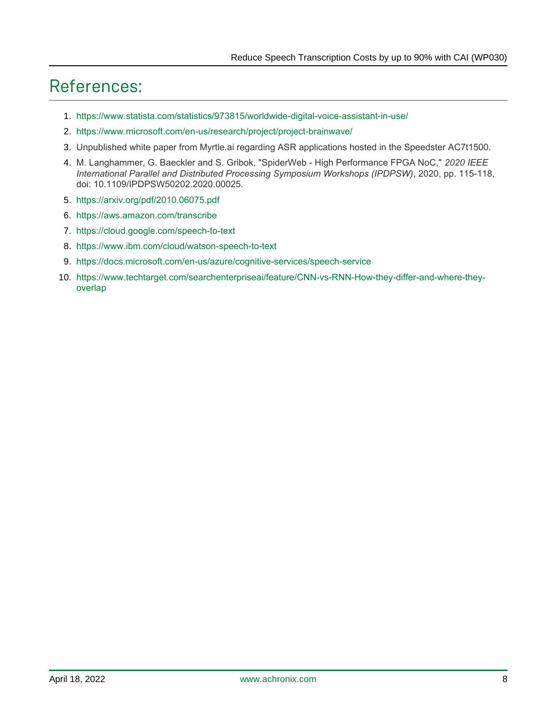## References:

- 1. <https://www.statista.com/statistics/973815/worldwide-digital-voice-assistant-in-use/>
- 2. <https://www.microsoft.com/en-us/research/project/project-brainwave/>
- 3. Unpublished white paper from Myrtle.ai regarding ASR applications hosted in the Speedster AC7t1500.
- 4. M. Langhammer, G. Baeckler and S. Gribok, "SpiderWeb High Performance FPGA NoC," *2020 IEEE International Parallel and Distributed Processing Symposium Workshops (IPDPSW)*, 2020, pp. 115-118, doi: 10.1109/IPDPSW50202.2020.00025.
- 5. <https://arxiv.org/pdf/2010.06075.pdf>
- 6. <https://aws.amazon.com/transcribe>
- 7. <https://cloud.google.com/speech-to-text>
- 8. <https://www.ibm.com/cloud/watson-speech-to-text>
- 9. <https://docs.microsoft.com/en-us/azure/cognitive-services/speech-service>
- 10. [https://www.techtarget.com/searchenterpriseai/feature/CNN-vs-RNN-How-they-differ-and-where-they](https://www.techtarget.com/searchenterpriseai/feature/CNN-vs-RNN-How-they-differ-and-where-they-overlap)[overlap](https://www.techtarget.com/searchenterpriseai/feature/CNN-vs-RNN-How-they-differ-and-where-they-overlap)